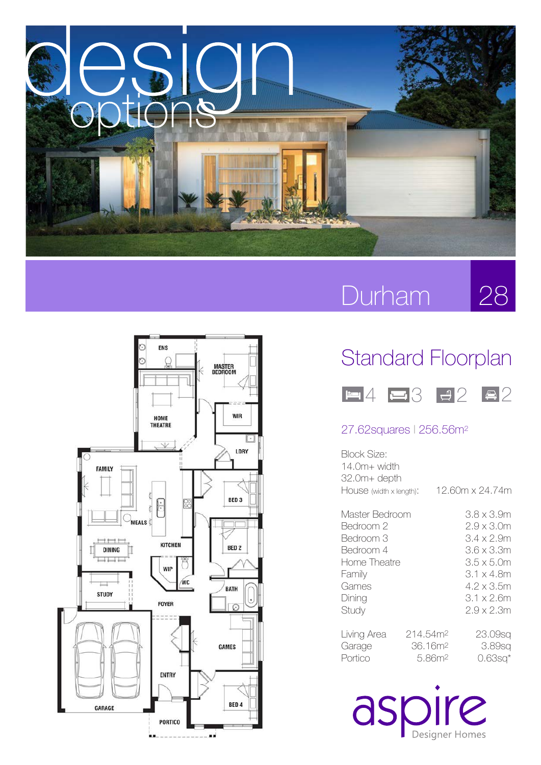

## **Durham**

28



## Standard Floorplan



## 27.62squares l 256.56m2

| Block Size:             |            |                                     |
|-------------------------|------------|-------------------------------------|
| $14.0m+width$           |            |                                     |
| 32.0m+ depth            |            |                                     |
| HOUSE (width x length): |            | 12.60m x 24.74m                     |
| Master Bedroom          |            | 3.8 x 3.9m                          |
| Bedroom 2               | 2.9 x 3.0m |                                     |
| Bedroom 3               |            | 3.4 x 2.9m                          |
| Bedroom 4               |            | 3.6 x 3.3m                          |
| Home Theatre            | 3.5 x 5.0m |                                     |
| Family                  |            | $3.1 \times 4.8$ m                  |
| Games                   |            | 4.2 x 3.5m                          |
| Dining                  |            | 3.1 x 2.6m                          |
| Study                   |            | $2.9 \times 2.3$ m                  |
| Living Area             | 214.54m2   | 23.09sq                             |
| Garage                  |            | 36.16m <sup>2</sup><br>3.89sq       |
| Portico                 |            | 5.86m <sup>2</sup><br>$0.63$ sq $*$ |

aspire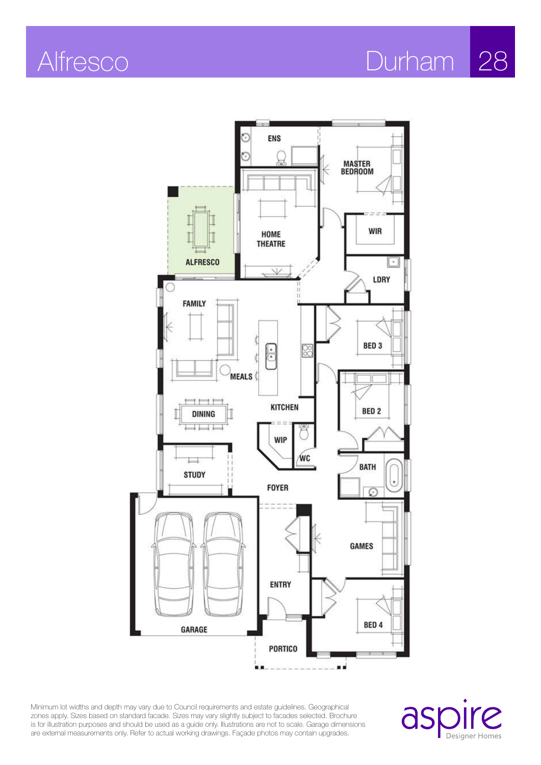

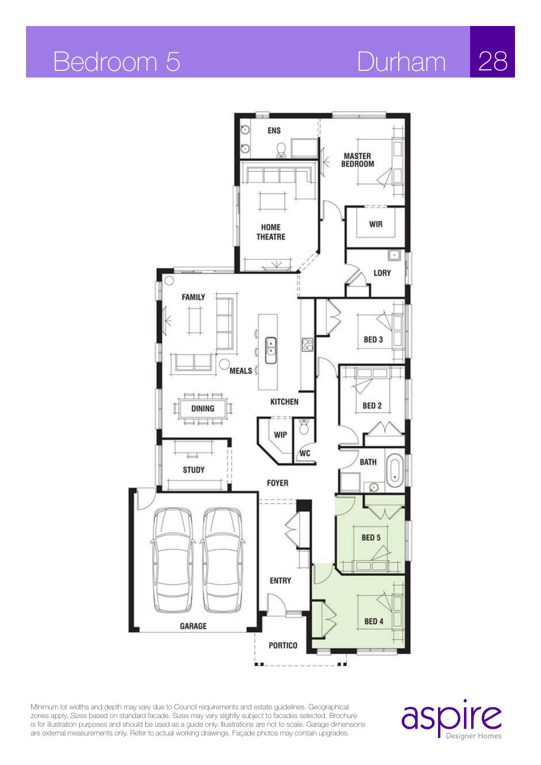

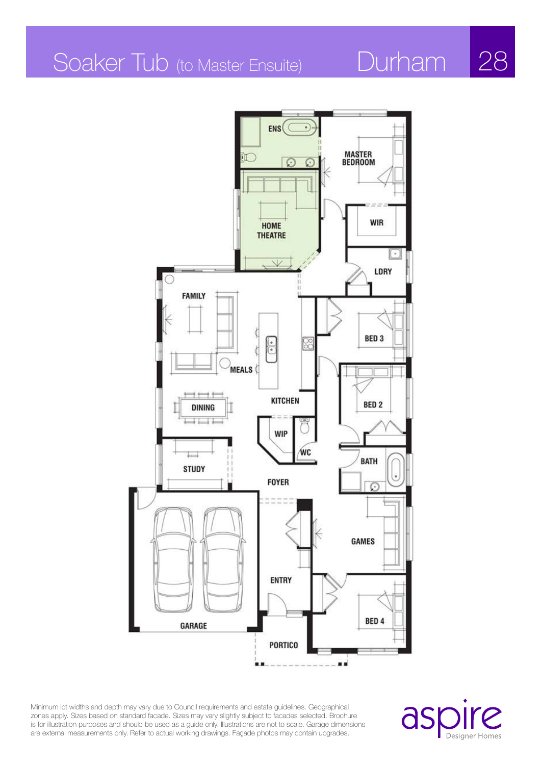